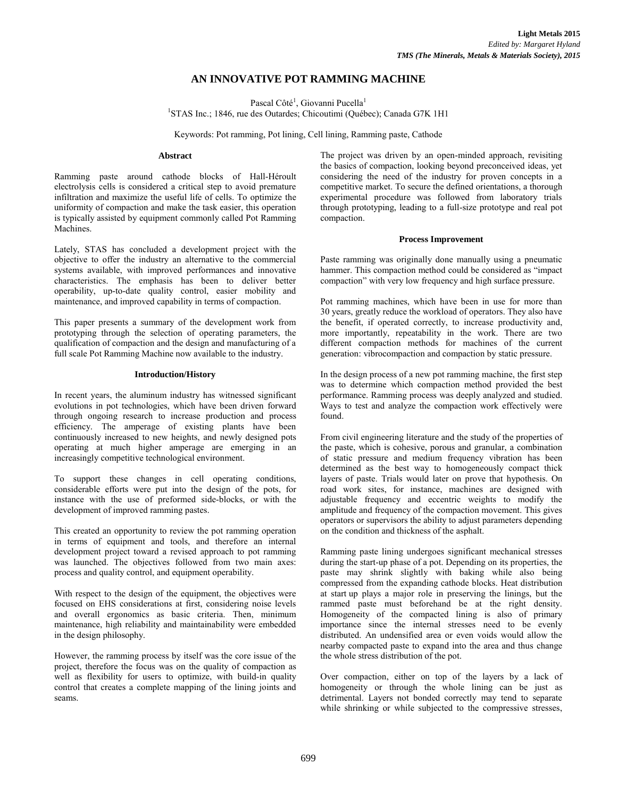# **AN INNOVATIVE POT RAMMING MACHINE**

Pascal Côté<sup>1</sup>, Giovanni Pucella<sup>1</sup>

<sup>1</sup>STAS Inc.; 1846, rue des Outardes; Chicoutimi (Québec); Canada G7K 1H1

Keywords: Pot ramming, Pot lining, Cell lining, Ramming paste, Cathode

## **Abstract**

Ramming paste around cathode blocks of Hall-Héroult electrolysis cells is considered a critical step to avoid premature infiltration and maximize the useful life of cells. To optimize the uniformity of compaction and make the task easier, this operation is typically assisted by equipment commonly called Pot Ramming Machines.

Lately, STAS has concluded a development project with the objective to offer the industry an alternative to the commercial systems available, with improved performances and innovative characteristics. The emphasis has been to deliver better operability, up-to-date quality control, easier mobility and maintenance, and improved capability in terms of compaction.

This paper presents a summary of the development work from prototyping through the selection of operating parameters, the qualification of compaction and the design and manufacturing of a full scale Pot Ramming Machine now available to the industry.

## **Introduction/History**

In recent years, the aluminum industry has witnessed significant evolutions in pot technologies, which have been driven forward through ongoing research to increase production and process efficiency. The amperage of existing plants have been continuously increased to new heights, and newly designed pots operating at much higher amperage are emerging in an increasingly competitive technological environment.

To support these changes in cell operating conditions, considerable efforts were put into the design of the pots, for instance with the use of preformed side-blocks, or with the development of improved ramming pastes.

This created an opportunity to review the pot ramming operation in terms of equipment and tools, and therefore an internal development project toward a revised approach to pot ramming was launched. The objectives followed from two main axes: process and quality control, and equipment operability.

With respect to the design of the equipment, the objectives were focused on EHS considerations at first, considering noise levels and overall ergonomics as basic criteria. Then, minimum maintenance, high reliability and maintainability were embedded in the design philosophy.

However, the ramming process by itself was the core issue of the project, therefore the focus was on the quality of compaction as well as flexibility for users to optimize, with build-in quality control that creates a complete mapping of the lining joints and seams.

The project was driven by an open-minded approach, revisiting the basics of compaction, looking beyond preconceived ideas, yet considering the need of the industry for proven concepts in a competitive market. To secure the defined orientations, a thorough experimental procedure was followed from laboratory trials through prototyping, leading to a full-size prototype and real pot compaction.

#### **Process Improvement**

Paste ramming was originally done manually using a pneumatic hammer. This compaction method could be considered as "impact compaction" with very low frequency and high surface pressure.

Pot ramming machines, which have been in use for more than 30 years, greatly reduce the workload of operators. They also have the benefit, if operated correctly, to increase productivity and, more importantly, repeatability in the work. There are two different compaction methods for machines of the current generation: vibrocompaction and compaction by static pressure.

In the design process of a new pot ramming machine, the first step was to determine which compaction method provided the best performance. Ramming process was deeply analyzed and studied. Ways to test and analyze the compaction work effectively were found.

From civil engineering literature and the study of the properties of the paste, which is cohesive, porous and granular, a combination of static pressure and medium frequency vibration has been determined as the best way to homogeneously compact thick layers of paste. Trials would later on prove that hypothesis. On road work sites, for instance, machines are designed with adjustable frequency and eccentric weights to modify the amplitude and frequency of the compaction movement. This gives operators or supervisors the ability to adjust parameters depending on the condition and thickness of the asphalt.

Ramming paste lining undergoes significant mechanical stresses during the start-up phase of a pot. Depending on its properties, the paste may shrink slightly with baking while also being compressed from the expanding cathode blocks. Heat distribution at start up plays a major role in preserving the linings, but the rammed paste must beforehand be at the right density. Homogeneity of the compacted lining is also of primary importance since the internal stresses need to be evenly distributed. An undensified area or even voids would allow the nearby compacted paste to expand into the area and thus change the whole stress distribution of the pot.

Over compaction, either on top of the layers by a lack of homogeneity or through the whole lining can be just as detrimental. Layers not bonded correctly may tend to separate while shrinking or while subjected to the compressive stresses,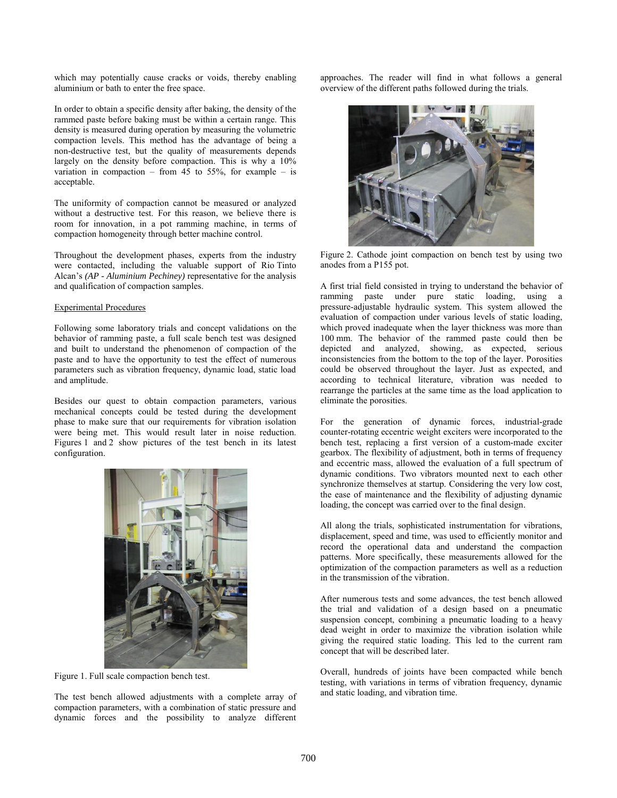which may potentially cause cracks or voids, thereby enabling aluminium or bath to enter the free space.

In order to obtain a specific density after baking, the density of the rammed paste before baking must be within a certain range. This density is measured during operation by measuring the volumetric compaction levels. This method has the advantage of being a non-destructive test, but the quality of measurements depends largely on the density before compaction. This is why a  $10\%$ variation in compaction – from  $4\overline{5}$  to 55%, for example – is acceptable.

The uniformity of compaction cannot be measured or analyzed without a destructive test. For this reason, we believe there is room for innovation, in a pot ramming machine, in terms of compaction homogeneity through better machine control.

Throughout the development phases, experts from the industry were contacted, including the valuable support of Rio Tinto Alcan's *(AP - Aluminium Pechiney)* representative for the analysis and qualification of compaction samples.

### Experimental Procedures

Following some laboratory trials and concept validations on the behavior of ramming paste, a full scale bench test was designed and built to understand the phenomenon of compaction of the paste and to have the opportunity to test the effect of numerous parameters such as vibration frequency, dynamic load, static load and amplitude.

Besides our quest to obtain compaction parameters, various mechanical concepts could be tested during the development phase to make sure that our requirements for vibration isolation were being met. This would result later in noise reduction. Figures 1 and 2 show pictures of the test bench in its latest configuration.



Figure 1. Full scale compaction bench test.

The test bench allowed adjustments with a complete array of compaction parameters, with a combination of static pressure and dynamic forces and the possibility to analyze different approaches. The reader will find in what follows a general overview of the different paths followed during the trials.



Figure 2. Cathode joint compaction on bench test by using two anodes from a P155 pot.

A first trial field consisted in trying to understand the behavior of ramming paste under pure static loading, using a pressure-adjustable hydraulic system. This system allowed the evaluation of compaction under various levels of static loading, which proved inadequate when the layer thickness was more than 100 mm. The behavior of the rammed paste could then be depicted and analyzed, showing, as expected, serious inconsistencies from the bottom to the top of the layer. Porosities could be observed throughout the layer. Just as expected, and according to technical literature, vibration was needed to rearrange the particles at the same time as the load application to eliminate the porosities.

For the generation of dynamic forces, industrial-grade counter-rotating eccentric weight exciters were incorporated to the bench test, replacing a first version of a custom-made exciter gearbox. The flexibility of adjustment, both in terms of frequency and eccentric mass, allowed the evaluation of a full spectrum of dynamic conditions. Two vibrators mounted next to each other synchronize themselves at startup. Considering the very low cost, the ease of maintenance and the flexibility of adjusting dynamic loading, the concept was carried over to the final design.

All along the trials, sophisticated instrumentation for vibrations, displacement, speed and time, was used to efficiently monitor and record the operational data and understand the compaction patterns. More specifically, these measurements allowed for the optimization of the compaction parameters as well as a reduction in the transmission of the vibration.

After numerous tests and some advances, the test bench allowed the trial and validation of a design based on a pneumatic suspension concept, combining a pneumatic loading to a heavy dead weight in order to maximize the vibration isolation while giving the required static loading. This led to the current ram concept that will be described later.

Overall, hundreds of joints have been compacted while bench testing, with variations in terms of vibration frequency, dynamic and static loading, and vibration time.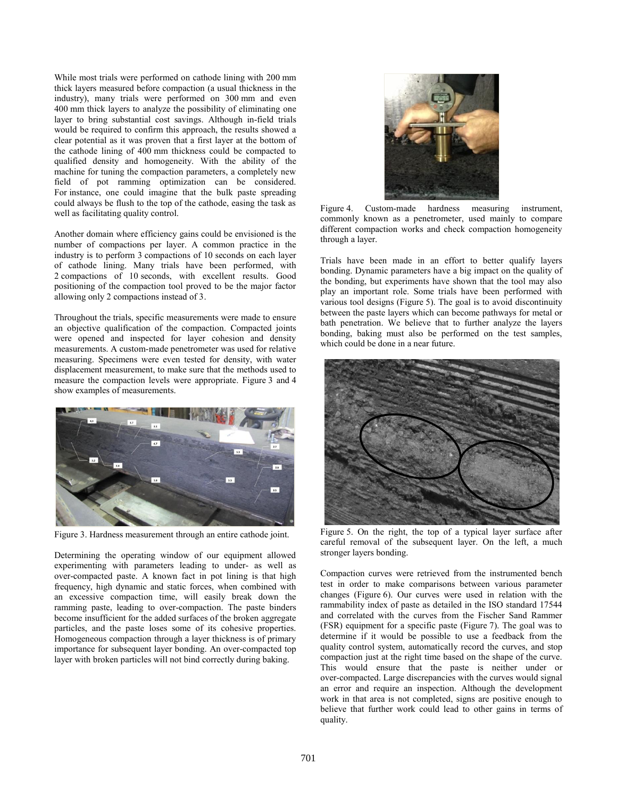While most trials were performed on cathode lining with 200 mm thick layers measured before compaction (a usual thickness in the industry), many trials were performed on 300 mm and even 400 mm thick layers to analyze the possibility of eliminating one layer to bring substantial cost savings. Although in-field trials would be required to confirm this approach, the results showed a clear potential as it was proven that a first layer at the bottom of the cathode lining of 400 mm thickness could be compacted to qualified density and homogeneity. With the ability of the machine for tuning the compaction parameters, a completely new field of pot ramming optimization can be considered. For instance, one could imagine that the bulk paste spreading could always be flush to the top of the cathode, easing the task as well as facilitating quality control.

Another domain where efficiency gains could be envisioned is the number of compactions per layer. A common practice in the industry is to perform 3 compactions of 10 seconds on each layer of cathode lining. Many trials have been performed, with 2 compactions of 10 seconds, with excellent results. Good positioning of the compaction tool proved to be the major factor allowing only 2 compactions instead of 3.

Throughout the trials, specific measurements were made to ensure an objective qualification of the compaction. Compacted joints were opened and inspected for layer cohesion and density measurements. A custom-made penetrometer was used for relative measuring. Specimens were even tested for density, with water displacement measurement, to make sure that the methods used to measure the compaction levels were appropriate. Figure 3 and 4 show examples of measurements.



Figure 3. Hardness measurement through an entire cathode joint.

Determining the operating window of our equipment allowed experimenting with parameters leading to under- as well as over-compacted paste. A known fact in pot lining is that high frequency, high dynamic and static forces, when combined with an excessive compaction time, will easily break down the ramming paste, leading to over-compaction. The paste binders become insufficient for the added surfaces of the broken aggregate particles, and the paste loses some of its cohesive properties. Homogeneous compaction through a layer thickness is of primary importance for subsequent layer bonding. An over-compacted top layer with broken particles will not bind correctly during baking.



Figure 4. Custom-made hardness measuring instrument, commonly known as a penetrometer, used mainly to compare different compaction works and check compaction homogeneity through a layer.

Trials have been made in an effort to better qualify layers bonding. Dynamic parameters have a big impact on the quality of the bonding, but experiments have shown that the tool may also play an important role. Some trials have been performed with various tool designs (Figure 5). The goal is to avoid discontinuity between the paste layers which can become pathways for metal or bath penetration. We believe that to further analyze the layers bonding, baking must also be performed on the test samples, which could be done in a near future.



Figure 5. On the right, the top of a typical layer surface after careful removal of the subsequent layer. On the left, a much stronger layers bonding.

Compaction curves were retrieved from the instrumented bench test in order to make comparisons between various parameter changes (Figure 6). Our curves were used in relation with the rammability index of paste as detailed in the ISO standard 17544 and correlated with the curves from the Fischer Sand Rammer (FSR) equipment for a specific paste (Figure 7). The goal was to determine if it would be possible to use a feedback from the quality control system, automatically record the curves, and stop compaction just at the right time based on the shape of the curve. This would ensure that the paste is neither under or over-compacted. Large discrepancies with the curves would signal an error and require an inspection. Although the development work in that area is not completed, signs are positive enough to believe that further work could lead to other gains in terms of quality.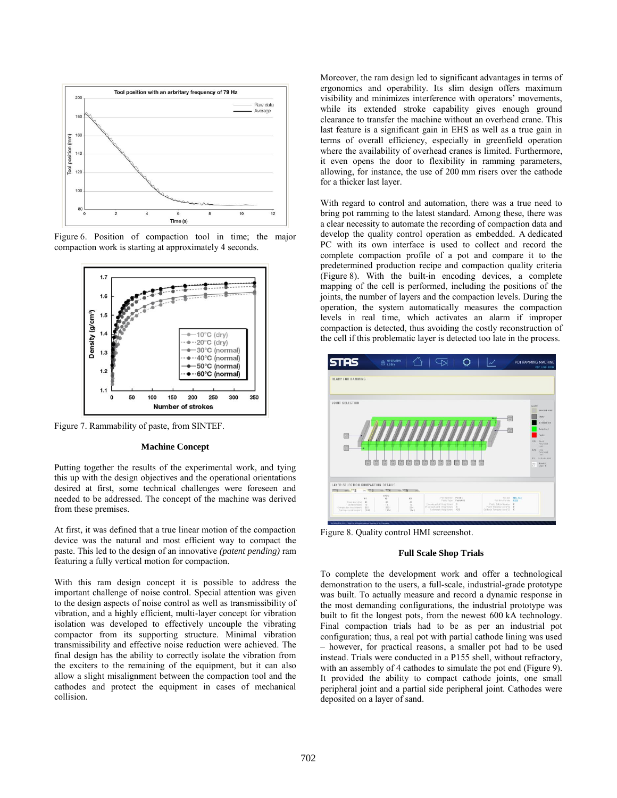

Figure 6. Position of compaction tool in time; the major compaction work is starting at approximately 4 seconds.



Figure 7. Rammability of paste, from SINTEF.

## **Machine Concept**

Putting together the results of the experimental work, and tying this up with the design objectives and the operational orientations desired at first, some technical challenges were foreseen and needed to be addressed. The concept of the machine was derived from these premises.

At first, it was defined that a true linear motion of the compaction device was the natural and most efficient way to compact the paste. This led to the design of an innovative *(patent pending)* ram featuring a fully vertical motion for compaction.

With this ram design concept it is possible to address the important challenge of noise control. Special attention was given to the design aspects of noise control as well as transmissibility of vibration, and a highly efficient, multi-layer concept for vibration isolation was developed to effectively uncouple the vibrating compactor from its supporting structure. Minimal vibration transmissibility and effective noise reduction were achieved. The final design has the ability to correctly isolate the vibration from the exciters to the remaining of the equipment, but it can also allow a slight misalignment between the compaction tool and the cathodes and protect the equipment in cases of mechanical collision.

Moreover, the ram design led to significant advantages in terms of ergonomics and operability. Its slim design offers maximum visibility and minimizes interference with operators' movements, while its extended stroke capability gives enough ground clearance to transfer the machine without an overhead crane. This last feature is a significant gain in EHS as well as a true gain in terms of overall efficiency, especially in greenfield operation where the availability of overhead cranes is limited. Furthermore, it even opens the door to flexibility in ramming parameters, allowing, for instance, the use of 200 mm risers over the cathode for a thicker last layer.

With regard to control and automation, there was a true need to bring pot ramming to the latest standard. Among these, there was a clear necessity to automate the recording of compaction data and develop the quality control operation as embedded. A dedicated PC with its own interface is used to collect and record the complete compaction profile of a pot and compare it to the predetermined production recipe and compaction quality criteria (Figure 8). With the built-in encoding devices, a complete mapping of the cell is performed, including the positions of the joints, the number of layers and the compaction levels. During the operation, the system automatically measures the compaction levels in real time, which activates an alarm if improper compaction is detected, thus avoiding the costly reconstruction of the cell if this problematic layer is detected too late in the process.



Figure 8. Quality control HMI screenshot.

#### **Full Scale Shop Trials**

To complete the development work and offer a technological demonstration to the users, a full-scale, industrial-grade prototype was built. To actually measure and record a dynamic response in the most demanding configurations, the industrial prototype was built to fit the longest pots, from the newest 600 kA technology. Final compaction trials had to be as per an industrial pot configuration; thus, a real pot with partial cathode lining was used – however, for practical reasons, a smaller pot had to be used instead. Trials were conducted in a P155 shell, without refractory, with an assembly of 4 cathodes to simulate the pot end (Figure 9). It provided the ability to compact cathode joints, one small peripheral joint and a partial side peripheral joint. Cathodes were deposited on a layer of sand.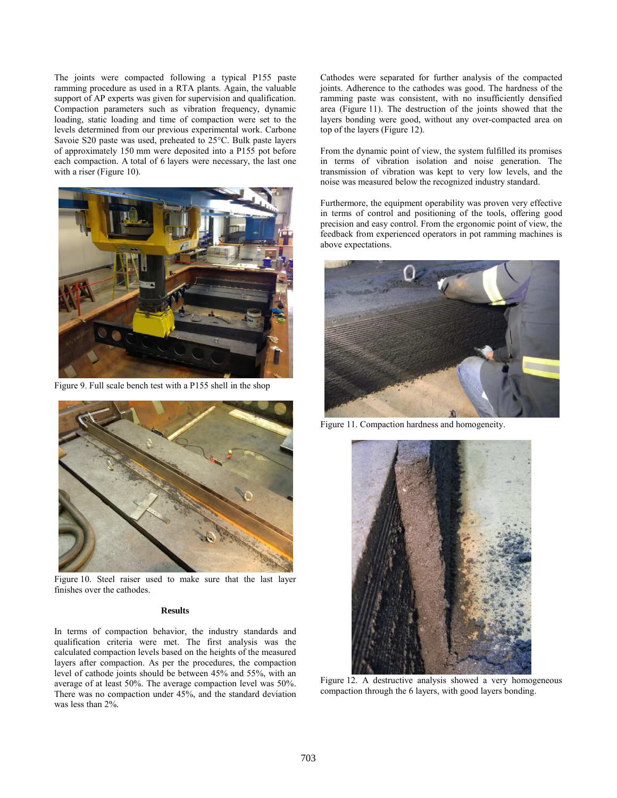The joints were compacted following a typical P155 paste ramming procedure as used in a RTA plants. Again, the valuable support of AP experts was given for supervision and qualification. Compaction parameters such as vibration frequency, dynamic loading, static loading and time of compaction were set to the levels determined from our previous experimental work. Carbone Savoie S20 paste was used, preheated to 25°C. Bulk paste layers of approximately 150 mm were deposited into a P155 pot before each compaction. A total of 6 layers were necessary, the last one with a riser (Figure 10).



Figure 9. Full scale bench test with a P155 shell in the shop



Figure 10. Steel raiser used to make sure that the last layer finishes over the cathodes.

### **Results**

In terms of compaction behavior, the industry standards and qualification criteria were met. The first analysis was the calculated compaction levels based on the heights of the measured layers after compaction. As per the procedures, the compaction level of cathode joints should be between 45% and 55%, with an average of at least 50%. The average compaction level was 50%. There was no compaction under 45%, and the standard deviation was less than 2%.

Cathodes were separated for further analysis of the compacted joints. Adherence to the cathodes was good. The hardness of the ramming paste was consistent, with no insufficiently densified area (Figure 11). The destruction of the joints showed that the layers bonding were good, without any over-compacted area on top of the layers (Figure 12).

From the dynamic point of view, the system fulfilled its promises in terms of vibration isolation and noise generation. The transmission of vibration was kept to very low levels, and the noise was measured below the recognized industry standard.

Furthermore, the equipment operability was proven very effective in terms of control and positioning of the tools, offering good precision and easy control. From the ergonomic point of view, the feedback from experienced operators in pot ramming machines is above expectations.



Figure 11. Compaction hardness and homogeneity.



Figure 12. A destructive analysis showed a very homogeneous compaction through the 6 layers, with good layers bonding.